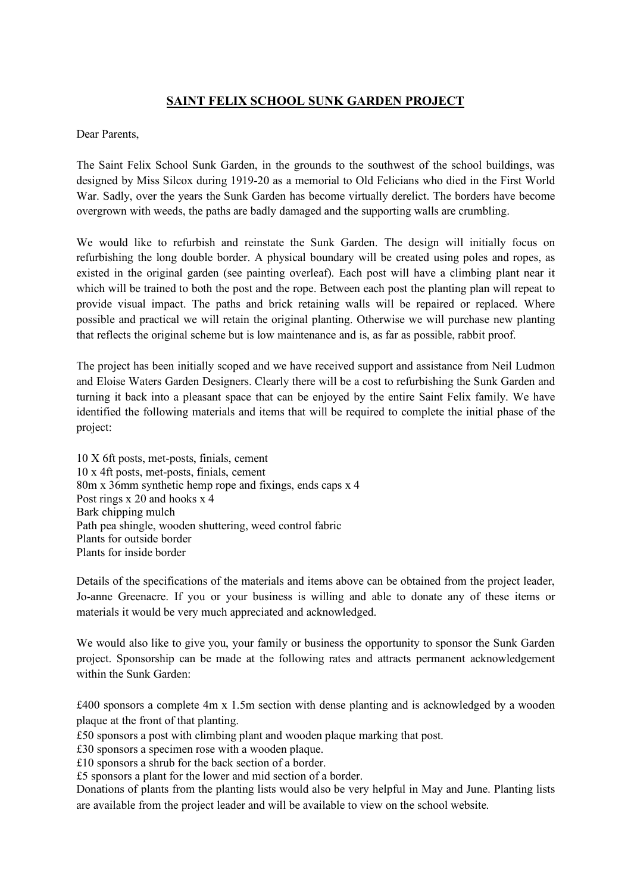## **SAINT FELIX SCHOOL SUNK GARDEN PROJECT**

## Dear Parents,

The Saint Felix School Sunk Garden, in the grounds to the southwest of the school buildings, was designed by Miss Silcox during 1919-20 as a memorial to Old Felicians who died in the First World War. Sadly, over the years the Sunk Garden has become virtually derelict. The borders have become overgrown with weeds, the paths are badly damaged and the supporting walls are crumbling.

We would like to refurbish and reinstate the Sunk Garden. The design will initially focus on refurbishing the long double border. A physical boundary will be created using poles and ropes, as existed in the original garden (see painting overleaf). Each post will have a climbing plant near it which will be trained to both the post and the rope. Between each post the planting plan will repeat to provide visual impact. The paths and brick retaining walls will be repaired or replaced. Where possible and practical we will retain the original planting. Otherwise we will purchase new planting that reflects the original scheme but is low maintenance and is, as far as possible, rabbit proof.

The project has been initially scoped and we have received support and assistance from Neil Ludmon and Eloise Waters Garden Designers. Clearly there will be a cost to refurbishing the Sunk Garden and turning it back into a pleasant space that can be enjoyed by the entire Saint Felix family. We have identified the following materials and items that will be required to complete the initial phase of the project:

10 X 6ft posts, met-posts, finials, cement 10 x 4ft posts, met-posts, finials, cement 80m x 36mm synthetic hemp rope and fixings, ends caps x 4 Post rings x 20 and hooks x 4 Bark chipping mulch Path pea shingle, wooden shuttering, weed control fabric Plants for outside border Plants for inside border

Details of the specifications of the materials and items above can be obtained from the project leader, Jo-anne Greenacre. If you or your business is willing and able to donate any of these items or materials it would be very much appreciated and acknowledged.

We would also like to give you, your family or business the opportunity to sponsor the Sunk Garden project. Sponsorship can be made at the following rates and attracts permanent acknowledgement within the Sunk Garden:

£400 sponsors a complete 4m x 1.5m section with dense planting and is acknowledged by a wooden plaque at the front of that planting.

£50 sponsors a post with climbing plant and wooden plaque marking that post.

£30 sponsors a specimen rose with a wooden plaque.

£10 sponsors a shrub for the back section of a border.

£5 sponsors a plant for the lower and mid section of a border.

Donations of plants from the planting lists would also be very helpful in May and June. Planting lists are available from the project leader and will be available to view on the school website.